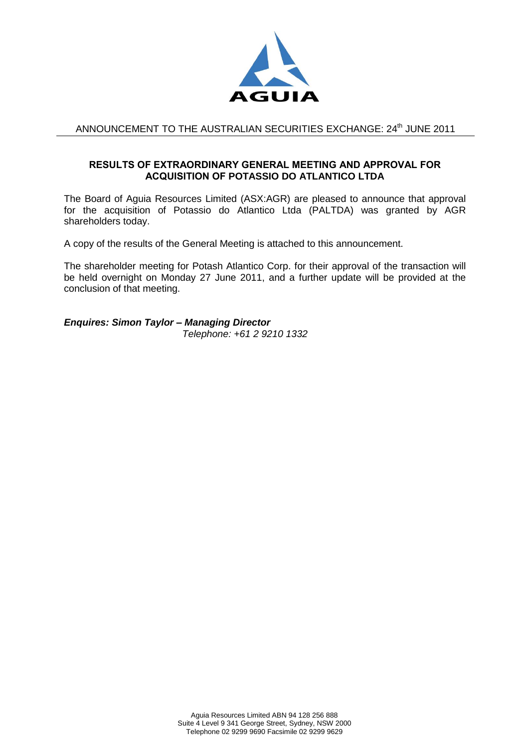

## ANNOUNCEMENT TO THE AUSTRALIAN SECURITIES EXCHANGE: 24<sup>th</sup> JUNE 2011

## **RESULTS OF EXTRAORDINARY GENERAL MEETING AND APPROVAL FOR ACQUISITION OF POTASSIO DO ATLANTICO LTDA**

The Board of Aguia Resources Limited (ASX:AGR) are pleased to announce that approval for the acquisition of Potassio do Atlantico Ltda (PALTDA) was granted by AGR shareholders today.

A copy of the results of the General Meeting is attached to this announcement.

The shareholder meeting for Potash Atlantico Corp. for their approval of the transaction will be held overnight on Monday 27 June 2011, and a further update will be provided at the conclusion of that meeting.

*Enquires: Simon Taylor – Managing Director Telephone: +61 2 9210 1332*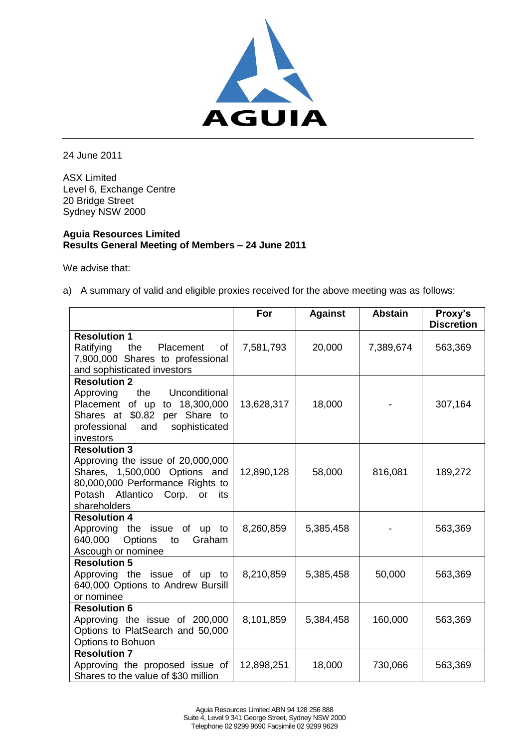

24 June 2011

ASX Limited Level 6, Exchange Centre 20 Bridge Street Sydney NSW 2000

## **Aguia Resources Limited Results General Meeting of Members – 24 June 2011**

We advise that:

a) A summary of valid and eligible proxies received for the above meeting was as follows:

|                                                     | For        | <b>Against</b> | <b>Abstain</b> | Proxy's<br><b>Discretion</b> |
|-----------------------------------------------------|------------|----------------|----------------|------------------------------|
| <b>Resolution 1</b>                                 |            |                |                |                              |
| Ratifying<br>the<br>Placement<br>of                 | 7,581,793  | 20,000         | 7,389,674      | 563,369                      |
| 7,900,000 Shares to professional                    |            |                |                |                              |
| and sophisticated investors                         |            |                |                |                              |
| <b>Resolution 2</b>                                 |            |                |                |                              |
| the<br>Unconditional<br>Approving                   |            |                |                |                              |
| Placement of up<br>to 18,300,000                    | 13,628,317 | 18,000         |                | 307,164                      |
| Shares at \$0.82<br>per Share to                    |            |                |                |                              |
| sophisticated<br>professional<br>and                |            |                |                |                              |
| investors                                           |            |                |                |                              |
| <b>Resolution 3</b>                                 |            |                |                |                              |
| Approving the issue of 20,000,000                   |            |                |                |                              |
| Shares, 1,500,000 Options and                       | 12,890,128 | 58,000         | 816,081        | 189,272                      |
| 80,000,000 Performance Rights to                    |            |                |                |                              |
| Potash Atlantico Corp.<br>or<br>its<br>shareholders |            |                |                |                              |
| <b>Resolution 4</b>                                 |            |                |                |                              |
| Approving the issue of<br>up to                     | 8,260,859  | 5,385,458      |                | 563,369                      |
| 640,000<br>Options<br>Graham<br>to                  |            |                |                |                              |
| Ascough or nominee                                  |            |                |                |                              |
| <b>Resolution 5</b>                                 |            |                |                |                              |
| Approving the issue of up to                        | 8,210,859  | 5,385,458      | 50,000         | 563,369                      |
| 640,000 Options to Andrew Bursill                   |            |                |                |                              |
| or nominee                                          |            |                |                |                              |
| <b>Resolution 6</b>                                 |            |                |                |                              |
| Approving the issue of 200,000                      | 8,101,859  | 5,384,458      | 160,000        | 563,369                      |
| Options to PlatSearch and 50,000                    |            |                |                |                              |
| Options to Bohuon                                   |            |                |                |                              |
| <b>Resolution 7</b>                                 |            |                |                |                              |
| Approving the proposed issue of                     | 12,898,251 | 18,000         | 730,066        | 563,369                      |
| Shares to the value of \$30 million                 |            |                |                |                              |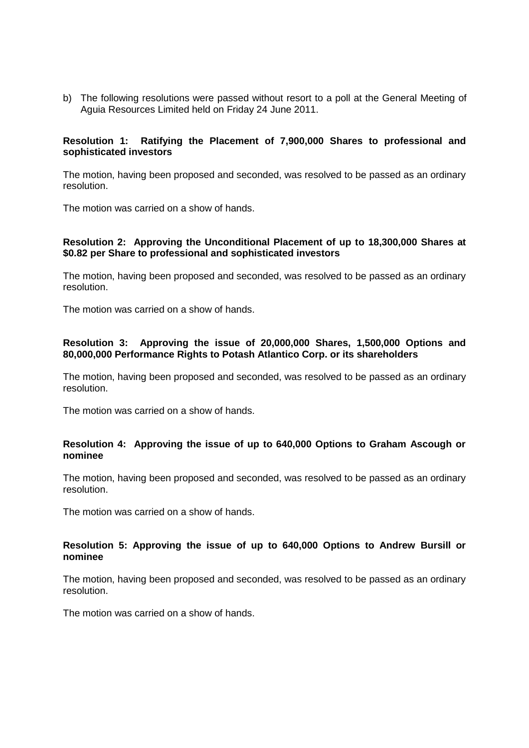b) The following resolutions were passed without resort to a poll at the General Meeting of Aguia Resources Limited held on Friday 24 June 2011.

## **Resolution 1: Ratifying the Placement of 7,900,000 Shares to professional and sophisticated investors**

The motion, having been proposed and seconded, was resolved to be passed as an ordinary resolution.

The motion was carried on a show of hands.

## **Resolution 2: Approving the Unconditional Placement of up to 18,300,000 Shares at \$0.82 per Share to professional and sophisticated investors**

The motion, having been proposed and seconded, was resolved to be passed as an ordinary resolution.

The motion was carried on a show of hands.

#### **Resolution 3: Approving the issue of 20,000,000 Shares, 1,500,000 Options and 80,000,000 Performance Rights to Potash Atlantico Corp. or its shareholders**

The motion, having been proposed and seconded, was resolved to be passed as an ordinary resolution.

The motion was carried on a show of hands.

## **Resolution 4: Approving the issue of up to 640,000 Options to Graham Ascough or nominee**

The motion, having been proposed and seconded, was resolved to be passed as an ordinary resolution.

The motion was carried on a show of hands.

## **Resolution 5: Approving the issue of up to 640,000 Options to Andrew Bursill or nominee**

The motion, having been proposed and seconded, was resolved to be passed as an ordinary resolution.

The motion was carried on a show of hands.